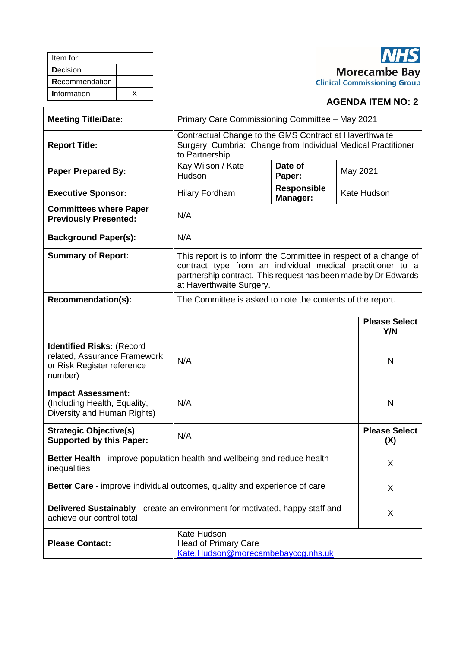| Item for:      |  |
|----------------|--|
| Decision       |  |
| Recommendation |  |
| Information    |  |

# **NHS Morecambe Bay**<br>Clinical Commissioning Group

# **AGENDA ITEM NO: 2**

| <b>Meeting Title/Date:</b>                                                                                | Primary Care Commissioning Committee - May 2021                                                                                                                                                                              |                                |                             |  |
|-----------------------------------------------------------------------------------------------------------|------------------------------------------------------------------------------------------------------------------------------------------------------------------------------------------------------------------------------|--------------------------------|-----------------------------|--|
| <b>Report Title:</b>                                                                                      | Contractual Change to the GMS Contract at Haverthwaite<br>Surgery, Cumbria: Change from Individual Medical Practitioner<br>to Partnership                                                                                    |                                |                             |  |
| <b>Paper Prepared By:</b>                                                                                 | Kay Wilson / Kate<br>Hudson                                                                                                                                                                                                  | Date of<br>May 2021<br>Paper:  |                             |  |
| <b>Executive Sponsor:</b>                                                                                 | <b>Hilary Fordham</b>                                                                                                                                                                                                        | <b>Responsible</b><br>Manager: | Kate Hudson                 |  |
| <b>Committees where Paper</b><br><b>Previously Presented:</b>                                             | N/A                                                                                                                                                                                                                          |                                |                             |  |
| <b>Background Paper(s):</b>                                                                               | N/A                                                                                                                                                                                                                          |                                |                             |  |
| <b>Summary of Report:</b>                                                                                 | This report is to inform the Committee in respect of a change of<br>contract type from an individual medical practitioner to a<br>partnership contract. This request has been made by Dr Edwards<br>at Haverthwaite Surgery. |                                |                             |  |
| Recommendation(s):                                                                                        | The Committee is asked to note the contents of the report.                                                                                                                                                                   |                                |                             |  |
|                                                                                                           |                                                                                                                                                                                                                              |                                | <b>Please Select</b><br>Y/N |  |
| <b>Identified Risks: (Record</b><br>related, Assurance Framework<br>or Risk Register reference<br>number) | N/A                                                                                                                                                                                                                          |                                | N                           |  |
| <b>Impact Assessment:</b><br>(Including Health, Equality,<br>Diversity and Human Rights)                  | N/A                                                                                                                                                                                                                          |                                | $\mathsf{N}$                |  |
| <b>Strategic Objective(s)</b><br><b>Supported by this Paper:</b>                                          | N/A                                                                                                                                                                                                                          |                                | <b>Please Select</b><br>(X) |  |
| Better Health - improve population health and wellbeing and reduce health<br>inequalities                 |                                                                                                                                                                                                                              |                                | X                           |  |
| Better Care - improve individual outcomes, quality and experience of care                                 |                                                                                                                                                                                                                              |                                | X                           |  |
| Delivered Sustainably - create an environment for motivated, happy staff and<br>achieve our control total |                                                                                                                                                                                                                              |                                | X                           |  |
| <b>Please Contact:</b>                                                                                    | Kate Hudson<br><b>Head of Primary Care</b><br>Kate.Hudson@morecambebayccg.nhs.uk                                                                                                                                             |                                |                             |  |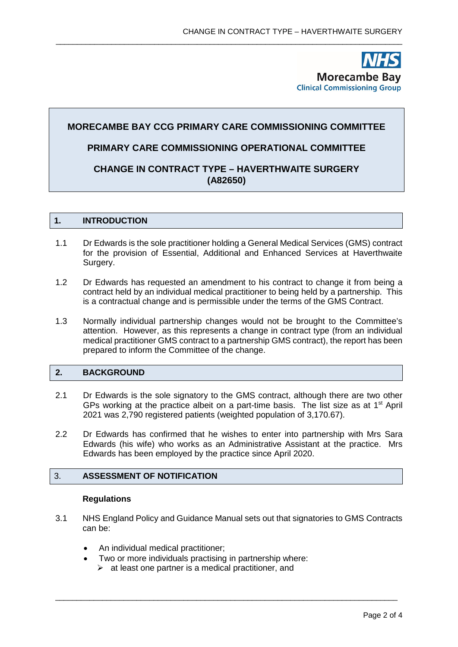**Morecambe Bay Clinical Commissioning Group** 

# **MORECAMBE BAY CCG PRIMARY CARE COMMISSIONING COMMITTEE**

\_\_\_\_\_\_\_\_\_\_\_\_\_\_\_\_\_\_\_\_\_\_\_\_\_\_\_\_\_\_\_\_\_\_\_\_\_\_\_\_\_\_\_\_\_\_\_\_\_\_\_\_\_\_\_\_\_\_\_\_\_\_\_\_\_\_\_\_\_\_\_\_\_\_\_\_\_\_\_\_\_

# **PRIMARY CARE COMMISSIONING OPERATIONAL COMMITTEE**

# **CHANGE IN CONTRACT TYPE – HAVERTHWAITE SURGERY (A82650)**

#### **1. INTRODUCTION**

- 1.1 Dr Edwards is the sole practitioner holding a General Medical Services (GMS) contract for the provision of Essential, Additional and Enhanced Services at Haverthwaite Surgery.
- 1.2 Dr Edwards has requested an amendment to his contract to change it from being a contract held by an individual medical practitioner to being held by a partnership. This is a contractual change and is permissible under the terms of the GMS Contract.
- 1.3 Normally individual partnership changes would not be brought to the Committee's attention. However, as this represents a change in contract type (from an individual medical practitioner GMS contract to a partnership GMS contract), the report has been prepared to inform the Committee of the change.

## **2. BACKGROUND**

- 2.1 Dr Edwards is the sole signatory to the GMS contract, although there are two other GPs working at the practice albeit on a part-time basis. The list size as at 1<sup>st</sup> April 2021 was 2,790 registered patients (weighted population of 3,170.67).
- 2.2 Dr Edwards has confirmed that he wishes to enter into partnership with Mrs Sara Edwards (his wife) who works as an Administrative Assistant at the practice. Mrs Edwards has been employed by the practice since April 2020.

#### 3. **ASSESSMENT OF NOTIFICATION**

#### **Regulations**

3.1 NHS England Policy and Guidance Manual sets out that signatories to GMS Contracts can be:

\_\_\_\_\_\_\_\_\_\_\_\_\_\_\_\_\_\_\_\_\_\_\_\_\_\_\_\_\_\_\_\_\_\_\_\_\_\_\_\_\_\_\_\_\_\_\_\_\_\_\_\_\_\_\_\_\_\_\_\_\_\_\_\_\_\_\_\_\_\_\_\_\_\_\_\_\_\_\_\_

- An individual medical practitioner;
- Two or more individuals practising in partnership where:
	- $\triangleright$  at least one partner is a medical practitioner, and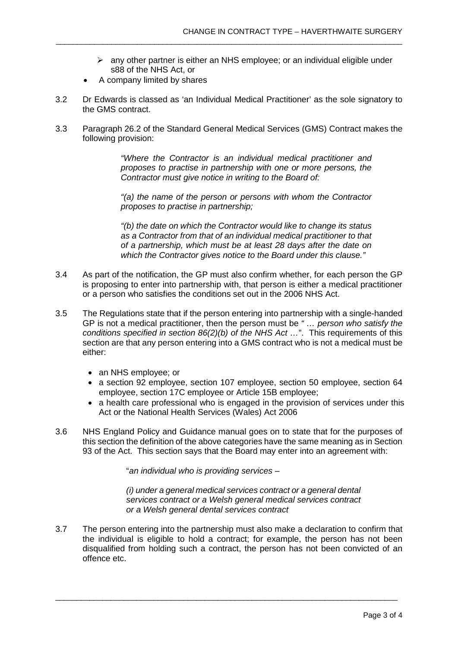- $\triangleright$  any other partner is either an NHS employee; or an individual eligible under s88 of the NHS Act, or
- A company limited by shares
- 3.2 Dr Edwards is classed as 'an Individual Medical Practitioner' as the sole signatory to the GMS contract.

\_\_\_\_\_\_\_\_\_\_\_\_\_\_\_\_\_\_\_\_\_\_\_\_\_\_\_\_\_\_\_\_\_\_\_\_\_\_\_\_\_\_\_\_\_\_\_\_\_\_\_\_\_\_\_\_\_\_\_\_\_\_\_\_\_\_\_\_\_\_\_\_\_\_\_\_\_\_\_\_\_

3.3 Paragraph 26.2 of the Standard General Medical Services (GMS) Contract makes the following provision:

> *"Where the Contractor is an individual medical practitioner and proposes to practise in partnership with one or more persons, the Contractor must give notice in writing to the Board of:*

> *"(a) the name of the person or persons with whom the Contractor proposes to practise in partnership;*

> *"(b) the date on which the Contractor would like to change its status as a Contractor from that of an individual medical practitioner to that of a partnership, which must be at least 28 days after the date on which the Contractor gives notice to the Board under this clause."*

- 3.4 As part of the notification, the GP must also confirm whether, for each person the GP is proposing to enter into partnership with, that person is either a medical practitioner or a person who satisfies the conditions set out in the 2006 NHS Act.
- 3.5 The Regulations state that if the person entering into partnership with a single-handed GP is not a medical practitioner, then the person must be *" … person who satisfy the conditions specified in section 86(2)(b) of the NHS Act …*". This requirements of this section are that any person entering into a GMS contract who is not a medical must be either:
	- an NHS employee: or
	- a section 92 employee, section 107 employee, section 50 employee, section 64 employee, section 17C employee or Article 15B employee;
	- a health care professional who is engaged in the provision of services under this Act or the National Health Services (Wales) Act 2006
- 3.6 NHS England Policy and Guidance manual goes on to state that for the purposes of this section the definition of the above categories have the same meaning as in Section 93 of the Act. This section says that the Board may enter into an agreement with:

"*an individual who is providing services –*

*(i) under a general medical services contract or a general dental services contract or a Welsh general medical services contract or a Welsh general dental services contract*

3.7 The person entering into the partnership must also make a declaration to confirm that the individual is eligible to hold a contract; for example, the person has not been disqualified from holding such a contract, the person has not been convicted of an offence etc.

\_\_\_\_\_\_\_\_\_\_\_\_\_\_\_\_\_\_\_\_\_\_\_\_\_\_\_\_\_\_\_\_\_\_\_\_\_\_\_\_\_\_\_\_\_\_\_\_\_\_\_\_\_\_\_\_\_\_\_\_\_\_\_\_\_\_\_\_\_\_\_\_\_\_\_\_\_\_\_\_